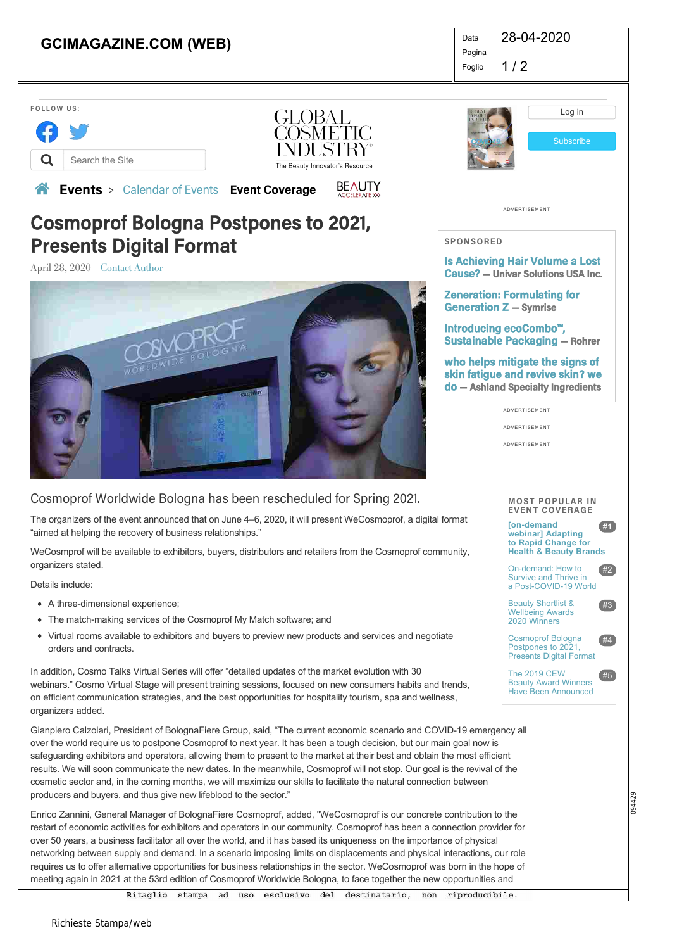